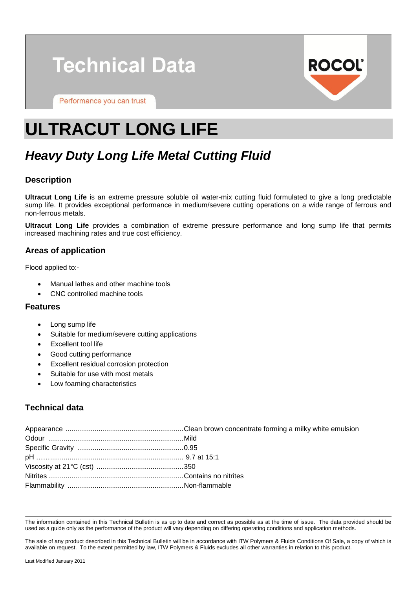# **Technical Data**

Performance you can trust



# **ULTRACUT LONG LIFE**

# *Heavy Duty Long Life Metal Cutting Fluid*

# **Description**

**Ultracut Long Life** is an extreme pressure soluble oil water-mix cutting fluid formulated to give a long predictable sump life. It provides exceptional performance in medium/severe cutting operations on a wide range of ferrous and non-ferrous metals.

**Ultracut Long Life** provides a combination of extreme pressure performance and long sump life that permits increased machining rates and true cost efficiency.

## **Areas of application**

Flood applied to:-

- Manual lathes and other machine tools
- CNC controlled machine tools

#### **Features**

- Long sump life
- Suitable for medium/severe cutting applications
- Excellent tool life
- Good cutting performance
- Excellent residual corrosion protection
- Suitable for use with most metals
- Low foaming characteristics

# **Technical data**

The information contained in this Technical Bulletin is as up to date and correct as possible as at the time of issue. The data provided should be used as a guide only as the performance of the product will vary depending on differing operating conditions and application methods.

The sale of any product described in this Technical Bulletin will be in accordance with ITW Polymers & Fluids Conditions Of Sale, a copy of which is available on request. To the extent permitted by law, ITW Polymers & Fluids excludes all other warranties in relation to this product.